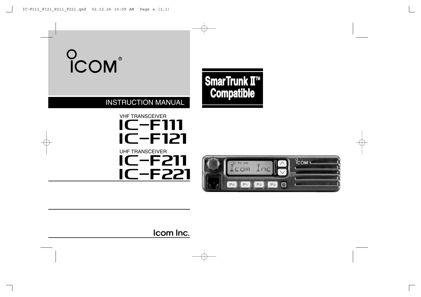# COM

## **SmarTrunk II™ Compatible**

## INSTRUCTION MANUAL

## **IC-F111** VHF TRANSCEIVER UHF TRANSCEIVER **IC-F121 IC-F211 IC-F221**



Icom Inc.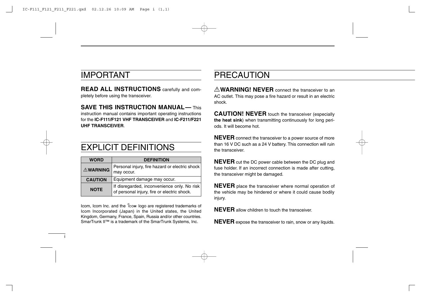## IMPORTANT

**UHF TRANSCEIVER**.

i

**READ ALL INSTRUCTIONS** carefully and completely before using the transceiver.

**SAVE THIS INSTRUCTION MANUAL— This** instruction manual contains important operating instructions for the **IC-F111/F121 VHF TRANSCEIVER** and **IC-F211/F221**

## EXPLICIT DEFINITIONS

| <b>WORD</b>     | <b>DEFINITION</b>                                                                          |
|-----------------|--------------------------------------------------------------------------------------------|
| <b>AWARNING</b> | Personal injury, fire hazard or electric shock<br>may occur.                               |
| <b>CAUTION</b>  | Equipment damage may occur.                                                                |
| <b>NOTE</b>     | If disregarded, inconvenience only. No risk<br>of personal injury, fire or electric shock. |

Icom, Icom Inc. and the  $\degree$  com logo are registered trademarks of Icom Incorporated (Japan) in the United states, the United Kingdom, Germany, France, Spain, Russia and/or other countries. SmarTrunk II™ is a trademark of the SmarTrunk Systems, Inc.

## PRECAUTION

R**WARNING! NEVER** connect the transceiver to an AC outlet. This may pose a fire hazard or result in an electric shock.

**CAUTION! NEVER** touch the transceiver (especially **the heat sink**) when transmitting continuously for long periods. It will become hot.

**NEVER** connect the transceiver to a power source of more than 16 V DC such as a 24 V battery. This connection will ruin the transceiver.

**NEVER** cut the DC power cable between the DC plug and fuse holder. If an incorrect connection is made after cutting, the transceiver might be damaged.

**NEVER** place the transceiver where normal operation of the vehicle may be hindered or where it could cause bodily injury.

**NEVER** allow children to touch the transceiver.

**NEVER** expose the transceiver to rain, snow or any liquids.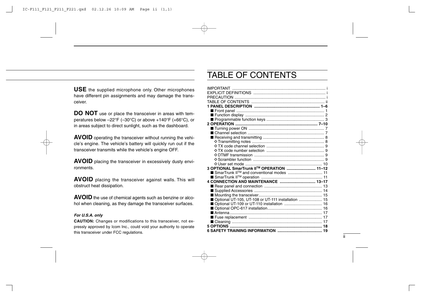**USE** the supplied microphone only. Other microphones have different pin assignments and may damage the transceiver.

**DO NOT** use or place the transceiver in areas with temperatures below –22°F (–30°C) or above +140°F (+66°C), or in areas subject to direct sunlight, such as the dashboard.

**AVOID** operating the transceiver without running the vehicle's engine. The vehicle's battery will quickly run out if the transceiver transmits while the vehicle's engine OFF.

**AVOID** placing the transceiver in excessively dusty environments.

**AVOID** placing the transceiver against walls. This will obstruct heat dissipation.

**AVOID** the use of chemical agents such as benzine or alcohol when cleaning, as they damage the transceiver surfaces.

#### *For U.S.A. only*

**CAUTION:** Changes or modifications to this transceiver, not expressly approved by Icom Inc., could void your authority to operate this transceiver under FCC regulations.

## TABLE OF CONTENTS

| 3 OPTIONAL SmarTrunk II™ OPERATION  11-12              |  |
|--------------------------------------------------------|--|
| ■ SmarTrunk II <sup>™</sup> and conventional modes  11 |  |
|                                                        |  |
| 4 CONNECTION AND MAINTENANCE  13-17                    |  |
|                                                        |  |
|                                                        |  |
|                                                        |  |
| ■ Optional UT-105, UT-108 or UT-111 installation  15   |  |
|                                                        |  |
|                                                        |  |
|                                                        |  |
|                                                        |  |
|                                                        |  |
|                                                        |  |
|                                                        |  |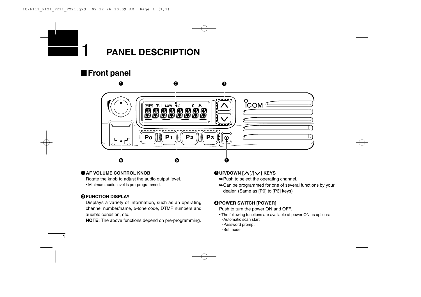## ■**Front panel**



## q**AF VOLUME CONTROL KNOB**

Rotate the knob to adjust the audio output level.

• Minimum audio level is pre-programmed.

## **@FUNCTION DISPLAY**

1

Displays a variety of information, such as an operating channel number/name, 5-tone code, DTMF numbers and audible condition, etc.

**NOTE:** The above functions depend on pre-programming.

## e**UP/DOWN [ ]**/**[ ] KEYS**

- ➥Push to select the operating channel.
- ➥Can be programmed for one of several functions by your dealer. (Same as [P0] to [P3] keys)

## **@POWER SWITCH [POWER]**

Push to turn the power ON and OFF.

- The following functions are available at power ON as options:
- -Automatic scan start
- -Password prompt
- -Set mode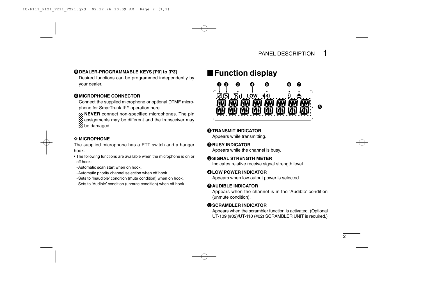## $\bigcirc$  **DEALER-PROGRAMMABLE KEYS [P0] to [P3]**

Desired functions can be programmed independently by your dealer.

## **MICROPHONE CONNECTOR**

Connect the supplied microphone or optional DTMF microphone for SmarTrunk II™ operation here.

**NEVER** connect non-specified microphones. The pin  $\mathbb Z$  assignments may be different and the transceiver may  $\mathscr{U}$  be damaged.

#### $\Diamond$  MICROPHONE

The supplied microphone has a PTT switch and a hanger hook.

- The following functions are available when the microphone is on or off hook:
	- -Automatic scan start when on hook.
- -Automatic priority channel selection when off hook.
- -Sets to 'Inaudible' condition (mute condition) when on hook.
- -Sets to 'Audible' condition (unmute condition) when off hook.

## ■**Function display**



#### q**TRANSMIT INDICATOR**

Appears while transmitting.

#### **@BUSY INDICATOR**

Appears while the channel is busy.

#### e**SIGNAL STRENGTH METER**

Indicates relative receive signal strength level.

#### **QLOW POWER INDICATOR**

Appears when low output power is selected.

## **MAUDIBLE INDICATOR**

Appears when the channel is in the 'Audible' condition (unmute condition).

## **GSCRAMBLER INDICATOR**

Appears when the scrambler function is activated. (Optional UT-109 (#02)/UT-110 (#02) SCRAMBLER UNIT is required.)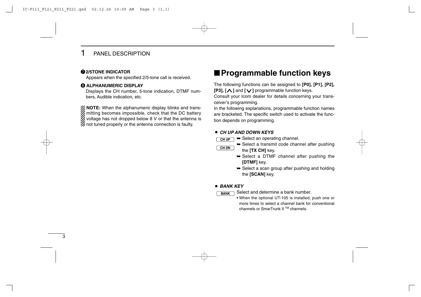## **@2/5TONE INDICATOR**

Appears when the specified 2/5-tone call is received.

## **6 ALPHANUMERIC DISPLAY**

Displays the CH number, 5-tone indication, DTMF numbers, Audible indication, etc.

 $\mathcal{U}$  **NOTE:** When the alphanumeric display blinks and transmitting becomes impossible, check that the DC battery X voltage has not dropped below 8 V or that the antenna is  $\mathcal{U}$  not tuned properly or the antenna connection is faulty.

## ■**Programmable function keys**

The following functions can be assigned to **[P0], [P1], [P2], [P3], [ ]** and **[ ]** programmable function keys.

Consult your Icom dealer for details concerning your transceiver's programming.

In the following explanations, programmable function names are bracketed. The specific switch used to activate the function depends on programming.

#### ¡ *CH UP AND DOWN KEYS*

- $\rightarrow$  Select an operating channel. **CH UP**
- **CH DN**
- **► Select a transmit code channel after pushing** the **[TX CH]** key.
	- ➥ Select a DTMF channel after pushing the **[DTMF]** key.
	- $\rightarrow$  Select a scan group after pushing and holding the **[SCAN]** key.

## ¡ *BANK KEY*

**BANK**

Select and determine a bank number.

• When the optional UT-105 is installed, push one or more times to select a channel bank for conventional channels or SmarTrunk II TM channels.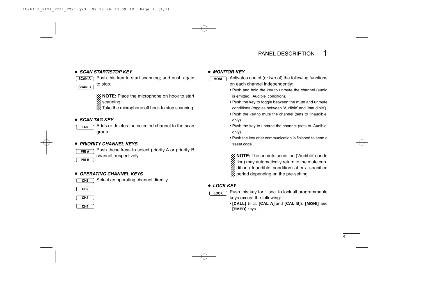#### ¡ *SCAN START/STOP KEY*



**SCAN A** Push this key to start scanning; and push again **THILL** to stop.

> **NOTE:** Place the microphone on hook to start scanning.

 $\mathbb Z$  Take the microphone off hook to stop scanning.

## ¡ *SCAN TAG KEY*

Adds or deletes the selected channel to the scan group. **TAG**

## ¡ *PRIORITY CHANNEL KEYS*



Push these keys to select priority A or priority B channel, respectively.

**PRI B**

## ¡ *OPERATING CHANNEL KEYS*



Select an operating channel directly.

**CH2**



**CH4**

#### ¡ *MONITOR KEY*

- Activates one of (or two of) the following functions on each channel independently:
- Push and hold the key to unmute the channel (audio is emitted; 'Audible' condition).
- Push the key to toggle between the mute and unmute conditions (toggles between 'Audible' and 'Inaudible').
- Push the key to mute the channel (sets to 'Inaudible' only).
- Push the key to unmute the channel (sets to 'Audible' only).
- Push the key after communication is finished to send a 'reset code'.

**NOTE:** The unmute condition ('Audible' condi- $\mathscr{U}$  tion) may automatically return to the mute con- $\mathbb Z$  dition ('Inaudible' condition) after a specified  $\mathscr{U}$  period depending on the pre-setting.

## ¡ *LOCK KEY*

- **LOCK**
- Push this key for 1 sec. to lock all programmable keys except the following:
- **[CALL]** (incl. **[CAL A]** and **[CAL B]**), **[MONI]** and **[EMER]** keys.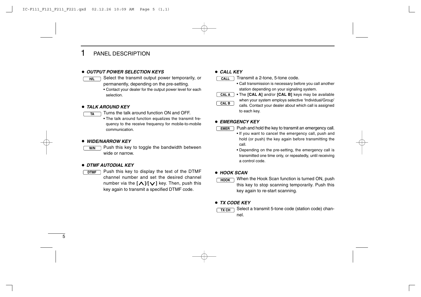#### ¡ *OUTPUT POWER SELECTION KEYS*

- Select the transmit output power temporarily, or **H/L CALL** permanently, depending on the pre-setting.
	- Contact your dealer for the output power level for each selection.

#### ¡ *TALK AROUND KEY*

- Turns the talk around function ON and OFF. **TA**
	- The talk around function equalizes the transmit frequency to the receive frequency for mobile-to-mobile communication.

#### ¡*WIDE/NARROW KEY*

Push this key to toggle the bandwidth between wide or narrow. **W/N**

#### ¡ *DTMF AUTODIAL KEY*

Push this key to display the text of the DTMF channel number and set the desired channel number via the **[ ]**/**[ ]** key. Then, push this key again to transmit a specified DTMF code. **DTMF**

#### ¡ *CALL KEY*

| CALL | $\supset$ Transmit a 2-tone, 5-tone code. |
|------|-------------------------------------------|
|      |                                           |

- Call transmission is necessary before you call another station depending on your signaling system.
- The **[CAL A]** and/or **[CAL B]** keys may be available when your system employs selective 'Individual/Group' calls. Contact your dealer about which call is assigned to each key. **CAL A CAL B**

#### ¡ *EMERGENCY KEY*

**EMER**

- Push and hold the key to transmit an emergency call.
	- If you want to cancel the emergency call, push and hold (or push) the key again before transmitting the call.
	- Depending on the pre-setting, the emergency call is transmitted one time only, or repeatedly, until receiving a control code.

#### ¡ *HOOK SCAN*

When the Hook Scan function is turned ON, push this key to stop scanning temporarily. Push this key again to re-start scanning. **HOOK**

#### ¡ *TX CODE KEY*

Select a transmit 5-tone code (station code) channel. **TX CH**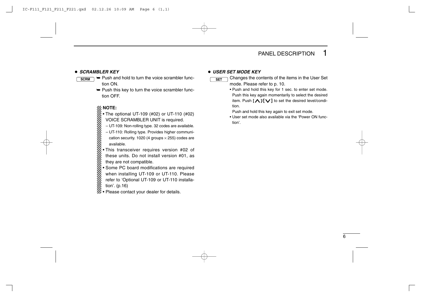#### ¡ *SCRAMBLER KEY*

- ➥ Push and hold to turn the voice scrambler function ON. **SCRM**
	- $\rightarrow$  Push this key to turn the voice scrambler function OFF.

- The optional UT-109 (#02) or UT-110 (#02)
- VOICE SCRAMBLER UNIT is required.
- UT-109: Non-rolling type. 32 codes are available.
- UT-110: Rolling type. Provides higher communication security. 1020 (4 groups  $\times$  255) codes are available.
- **NOTE:**<br>
Integral of UCLE<br>
Integral of UCLE<br>
Integral of these<br>
Integral of these<br>
Integral of Some<br>
Integral of the values<br>
Integral of the values<br>
Integral of Some<br>
Integral of the refer t<br>
Integral of the refer t • This transceiver requires version #02 of these units. Do not install version #01, as they are not compatible.
	- Some PC board modifications are required when installing UT-109 or UT-110. Please
	- refer to 'Optional UT-109 or UT-110 installa-
- tion'. (p.16)
- $\mathscr{U}\bullet$  Please contact your dealer for details.

#### ¡ *USER SET MODE KEY*

**SET**

Changes the contents of the items in the User Set mode. Please refer to p. 10.

• Push and hold this key for 1 sec. to enter set mode. Push this key again momentarily to select the desired item. Push **[ ]**/**[ ]** to set the desired level/condition.

Push and hold this key again to exit set mode.

• User set mode also available via the 'Power ON function'.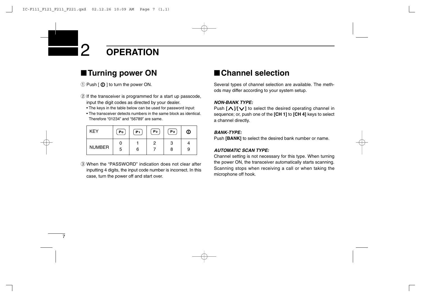## 2 **OPERATION**

## ■**Turning power ON**

 $\circled{1}$  Push  $\circled{1}$   $\circled{1}$  to turn the power ON.

- $\Omega$  If the transceiver is programmed for a start up passcode, input the digit codes as directed by your dealer.
	- The keys in the table below can be used for password input:
	- The transceiver detects numbers in the same block as identical. Therefore "01234" and "56789" are same.

| <b>KEY</b>    | Po | P <sub>1</sub> | P <sub>2</sub> | Pз | ⊙ |
|---------------|----|----------------|----------------|----|---|
| <b>NUMBER</b> |    |                | 2              | з  |   |
|               | 5  | 6              |                | 8  | 9 |

e When the "PASSWORD" indication does not clear after inputting 4 digits, the input code number is incorrect. In this case, turn the power off and start over.

## ■**Channel selection**

Several types of channel selection are available. The methods may differ according to your system setup.

## *NON-BANK TYPE:*

Push  $[\Lambda]$   $[\vee]$  to select the desired operating channel in sequence; or, push one of the **[CH 1]** to **[CH 4]** keys to select a channel directly.

#### *BANK-TYPE:*

Push **[BANK]** to select the desired bank number or name.

## *AUTOMATIC SCAN TYPE:*

Channel setting is not necessary for this type. When turning the power ON, the transceiver automatically starts scanning. Scanning stops when receiving a call or when taking the microphone off hook.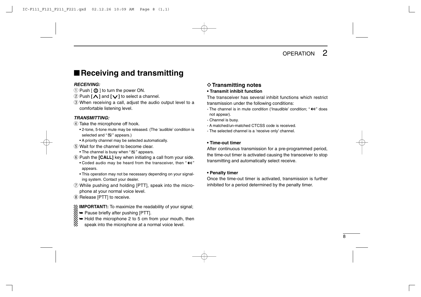## ■**Receiving and transmitting**

## *RECEIVING:*

- $\circled{1}$  Push  $\circled{0}$   $\circled{1}$  to turn the power ON.
- $\Omega$  Push  $\Lambda$  and  $\Lambda$  to select a channel.
- e When receiving a call, adjust the audio output level to a comfortable listening level.

## *TRANSMITTING:*

- $\sigma$  Take the microphone off hook.
	- 2-tone, 5-tone mute may be released. (The 'audible' condition is selected and " $\mathbb{N}$ " appears.)
	- A priority channel may be selected automatically.
- (5) Wait for the channel to become clear.
	- The channel is busy when " $\mathbb{S}$ " appears.
- (6) Push the **[CALL]** key when initiating a call from your side.
	- Coded audio may be heard from the transceiver, then "  $\leftarrow$  " appears.
	- This operation may not be necessary depending on your signaling system. Contact your dealer.
- $\Omega$  While pushing and holding [PTT], speak into the microphone at your normal voice level.
- $\circ$  Release [PTT] to receive.

## *Z* IMPORTANT!: To maximize the readability of your signal;

- $\mathscr{C} \rightarrow$  Pause briefly after pushing [PTT].
- ➥ Hold the microphone 2 to 5 cm from your mouth, then
- speak into the microphone at a normal voice level.

## **♦ Transmitting notes**

**• Transmit inhibit function**

The transceiver has several inhibit functions which restrict transmission under the following conditions:

- The channel is in mute condition ('Inaudible' condition: "  $\bigoplus$  " does not appear).
- Channel is busy.
- A matched/un-matched CTCSS code is received.
- The selected channel is a 'receive only' channel.

#### **• Time-out timer**

After continuous transmission for a pre-programmed period, the time-out timer is activated causing the transceiver to stop transmitting and automatically select receive.

## **• Penalty timer**

Once the time-out timer is activated, transmission is further inhibited for a period determined by the penalty timer.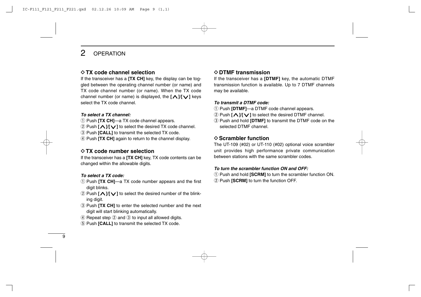## 2 OPERATION

## **◇ TX code channel selection**

If the transceiver has a **[TX CH]** key, the display can be toggled between the operating channel number (or name) and TX code channel number (or name). When the TX code channel number (or name) is displayed, the **[ ]**/**[ ]** keys select the TX code channel.

#### *To select a TX channel:*

- (1) Push **[TX CH]**—a TX code channel appears.
- w Push **[ ]**/**[ ]** to select the desired TX code channel.
- **(3) Push <b>[CALL]** to transmit the selected TX code.
- **4**) Push **[TX CH]** again to return to the channel display.

## **◇ TX code number selection**

If the transceiver has a **[TX CH]** key, TX code contents can be changed within the allowable digits.

## *To select a TX code:*

- q Push **[TX CH]**—a TX code number appears and the first digit blinks.
- **2** Push **[∧ ]/[∨ ]** to select the desired number of the blinking digit.
- **(3) Push <b>[TX CH]** to enter the selected number and the next digit will start blinking automatically.
- $\overline{r}(4)$  Repeat step  $\overline{r}(2)$  and  $\overline{r}(3)$  to input all allowed digits.
- (5) Push **[CALL]** to transmit the selected TX code.

## D**DTMF transmission**

If the transceiver has a **[DTMF]** key, the automatic DTMF transmission function is available. Up to 7 DTMF channels may be available.

## *To transmit a DTMF code:*

- q Push **[DTMF]**—a DTMF code channel appears.
- w Push **[ ]**/**[ ]** to select the desired DTMF channel.
- e Push and hold **[DTMF]** to transmit the DTMF code on the selected DTMF channel.

## D**Scrambler function**

The UT-109 (#02) or UT-110 (#02) optional voice scrambler unit provides high performance private communication between stations with the same scrambler codes.

## *To turn the scrambler function ON and OFF:*

- q Push and hold **[SCRM]** to turn the scrambler function ON.
- 2 Push **[SCRM]** to turn the function OFF.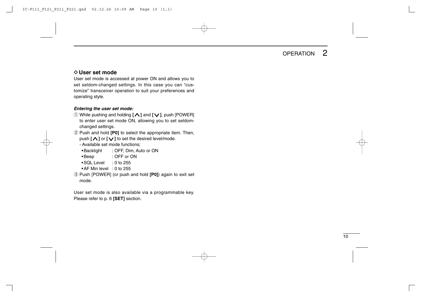## **OPERATION**

## **◇ User set mode**

User set mode is accessed at power ON and allows you to set seldom-changed settings. In this case you can "customize" transceiver operation to suit your preferences and operating style.

#### *Entering the user set mode:*

- q While pushing and holding **[ ]** and **[ ]**, push [POWER] to enter user set mode ON, allowing you to set seldomchanged settings.
- w Push and hold **[P0]** to select the appropriate item. Then, push **[ ]** or **[ ]** to set the desired level/mode.
	- Available set mode functions;
	- •Backlight : OFF, Dim, Auto or ON
	- •Beep : OFF or ON
	- •SQL Level : 0 to 255
	- AF Min level : 0 to 255
- e Push [POWER] (or push and hold **[P0]**) again to exit set mode.

User set mode is also available via a programmable key. Please refer to p. 6 **[SET]** section.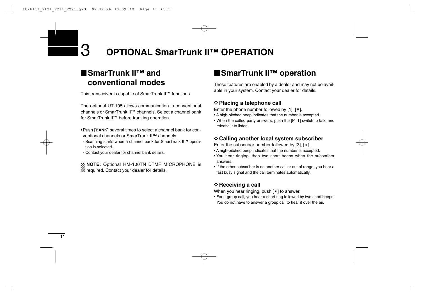## 3 **OPTIONAL SmarTrunk II™ OPERATION**

## ■**SmarTrunk II™ and conventional modes**

This transceiver is capable of SmarTrunk II™ functions.

The optional UT-105 allows communication in conventional channels or SmarTrunk II™ channels. Select a channel bank for SmarTrunk II™ before trunking operation.

- •Push **[BANK]** several times to select a channel bank for conventional channels or SmarTrunk II™ channels.
- Scanning starts when a channel bank for SmarTrunk II™ operation is selected.
- Contact your dealer for channel bank details.

**NOTE:** Optional HM-100TN DTMF MICROPHONE is  $\mathbb Z$  required. Contact your dealer for details.

## ■**SmarTrunk II<sup>™</sup> operation**

These features are enabled by a dealer and may not be available in your system. Contact your dealer for details.

## **◇ Placing a telephone call**

Enter the phone number followed by  $[1]$ ,  $[*]$ .

- A high-pitched beep indicates that the number is accepted.
- When the called party answers, push the [PTT] switch to talk, and release it to listen.

## **♦ Calling another local system subscriber**

Enter the subscriber number followed by [3],  $[*/]$ .

- A high-pitched beep indicates that the number is accepted.
- You hear ringing, then two short beeps when the subscriber answers.
- If the other subscriber is on another call or out of range, you hear a fast busy signal and the call terminates automatically.

## **◇ Receiving a call**

When you hear ringing, push  $[*]$  to answer.

• For a group call, you hear a short ring followed by two short beeps. You do not have to answer a group call to hear it over the air.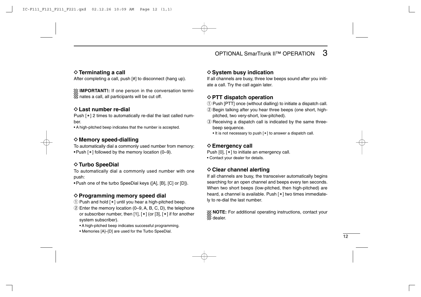## $\diamond$  Terminating a call

After completing a call, push [#] to disconnect (hang up).

**ZUMPORTANT!:** If one person in the conversation termi- $\mathscr U$  nates a call, all participants will be cut off.

## D**Last number re-dial**

Push  $[*]$  2 times to automatically re-dial the last called number.

• A high-pitched beep indicates that the number is accepted.

## **◇ Memory speed-dialling**

To automatically dial a commonly used number from memory: • Push  $[*]$  followed by the memory location (0–9).

## $\diamond$  **Turbo SpeeDial**

To automatically dial a commonly used number with one push:

•Push one of the turbo SpeeDial keys ([A], [B], [C] or [D]).

## D**Programming memory speed dial**

- $\Omega$  Push and hold [ $*$ ] until you hear a high-pitched beep.
- $\ddot{2}$  Enter the memory location (0–9, A, B, C, D), the telephone or subscriber number, then [1],  $[*]$  (or [3],  $[*]$  if for another system subscriber).
	- A high-pitched beep indicates successful programming.
	- Memories [A]–[D] are used for the Turbo SpeeDial.

## **♦ System busy indication**

If all channels are busy, three low beeps sound after you initiate a call. Try the call again later.

## **◇ PTT dispatch operation**

- $\Omega$  Push [PTT] once (without dialling) to initiate a dispatch call.
- $Q$  Begin talking after you hear three beeps (one short, highpitched, two very-short, low-pitched).
- 3) Receiving a dispatch call is indicated by the same threebeep sequence.
	- $\bullet$  It is not necessary to push  $[*]$  to answer a dispatch call.

## **◇ Emergency call**

Push  $[0]$ ,  $[*]$  to initiate an emergency call.

• Contact your dealer for details.

## **◇ Clear channel alerting**

If all channels are busy, the transceiver automatically begins searching for an open channel and beeps every ten seconds. When two short beeps (low-pitched, then high-pitched) are heard, a channel is available. Push  $[*]$  two times immediately to re-dial the last number.

XX **NOTE:** For additional operating instructions, contact your  $\mathscr{U}$  dealer.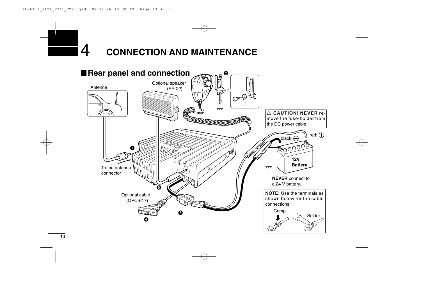## **CONNECTION AND MAINTENANCE**

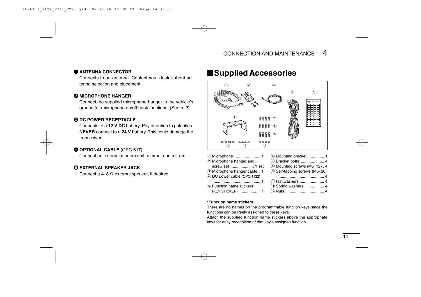## q **ANTENNA CONNECTOR**

Connects to an antenna. Contact your dealer about antenna selection and placement.

## **WICROPHONE HANGER**

Connect the supplied microphone hanger to the vehicle's ground for microphone on/off hook functions. (See p. 2)

## **B DC POWER RECEPTACLE**

Connects to a **12 V DC** battery. Pay attention to polarities. **NEVER** connect to a **24 V** battery. This could damage the transceiver.

## r **OPTIONAL CABLE** (OPC-617)

Connect an external modem unit, dimmer control, etc.

## **GEXTERNAL SPEAKER JACK**

Connect a 4–8  $\Omega$  external speaker, if desired.

## ■**Supplied Accessories**



| Function name stickers" |  |
|-------------------------|--|
| (KEY STICKER) 1         |  |

## !1Spring washers ................. <sup>4</sup> !2Nuts ................................... 4

#### **\*Function name stickers**

There are no names on the programmable function keys since the functions can be freely assigned to these keys.

Attach the supplied function name stickers above the appropriate keys for easy recognition of that key's assigned function.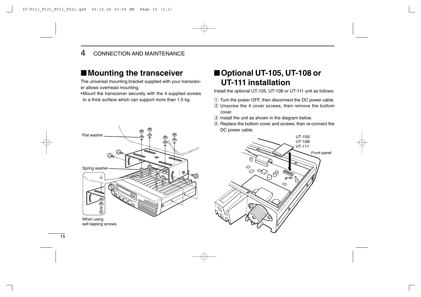## 4 CONNECTION AND MAINTENANCE

## ■**Mounting the transceiver**

The universal mounting bracket supplied with your transceiver allows overhead mounting.

•Mount the transceiver securely with the 4 supplied screws to a thick surface which can support more than 1.5 kg.



■**Optional UT-105, UT-108 or UT-111 installation**

Install the optional UT-105, UT-108 or UT-111 unit as follows:

- $\odot$  Turn the power OFF, then disconnect the DC power cable.
- $Q$  Unscrew the 4 cover screws, then remove the bottom cover.
- 3 Install the unit as shown in the diagram below.
- 4 Replace the bottom cover and screws, then re-connect the DC power cable.

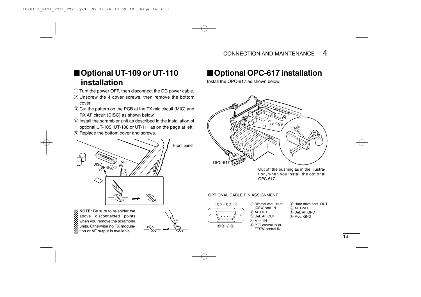## ■**Optional UT-109 or UT-110 installation**

- (1) Turn the power OFF, then disconnect the DC power cable.
- $(2)$  Unscrew the 4 cover screws, then remove the bottom cover.
- e Cut the pattern on the PCB at the TX mic circuit (MIC) and RX AF circuit (DISC) as shown below.
- r Install the scrambler unit as described in the installation of optional UT-105, UT-108 or UT-111 as on the page at left.
- (5) Replace the bottom cover and screws.



**NOTE:** Be sure to re-solder the above disconnected points when you remove the scrambler units. Otherwise no TX modula- $\mathbb Z$  tion or AF output is available.



## ■**Optional OPC-617 installation**

Install the OPC-617 as shown below.



Cut off the bushing as in the illustration, when you install the optional OPC-617.

#### OPTIONAL CABLE PIN ASSIGNMENT



- q Dimmer cont. IN or IGSW cont. IN  $(2)$  AF OUT e Det. AF OUT r Mod. IN  $(5)$  PTT control IN or  $\circledR$   $\circledR$   $\circledR$   $\circledR$   $\circledR$   $\circledR$   $\circledR$   $\circledR$   $\circledR$   $\circledR$   $\circledR$   $\circledR$   $\circledR$   $\circledR$   $\circledR$   $\circledR$   $\circledR$   $\circledR$   $\circledR$   $\circledR$   $\circledR$   $\circledR$   $\circledR$   $\circledR$   $\circledR$   $\circledR$   $\circledR$   $\circledR$   $\circledR$   $\circledR$   $\circledR$   $\circled$
- y Horn drive cont. OUT  $(7)$  AF GND  $\circ$  Det. AF GND o Mod. GND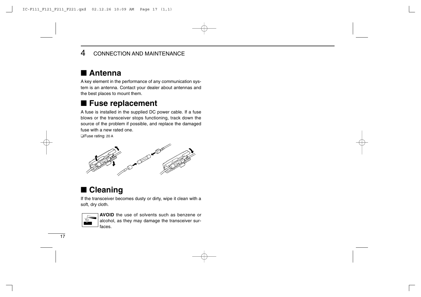## 4 CONNECTION AND MAINTENANCE

## ■ **Antenna**

A key element in the performance of any communication system is an antenna. Contact your dealer about antennas and the best places to mount them.

## ■ Fuse replacement

A fuse is installed in the supplied DC power cable. If a fuse blows or the transceiver stops functioning, track down the source of the problem if possible, and replace the damaged fuse with a new rated one.

❑Fuse rating: 20 A



## ■ **Cleaning**

If the transceiver becomes dusty or dirty, wipe it clean with a soft, dry cloth.



**AVOID** the use of solvents such as benzene or alcohol, as they may damage the transceiver surfaces.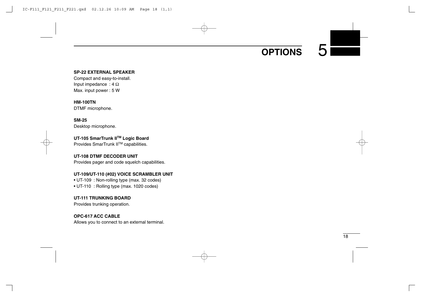## **OPTIONS**

#### **SP-22 EXTERNAL SPEAKER**

Compact and easy-to-install. Input impedance :  $4 \Omega$ Max. input power : 5 W

**HM-100TN**

DTMF microphone.

**SM-25** Desktop microphone.

**UT-105 SmarTrunk IITM Logic Board** Provides SmarTrunk IITM capabilities.

#### **UT-108 DTMF DECODER UNIT**

Provides pager and code squelch capabilities.

## **UT-109/UT-110 (#02) VOICE SCRAMBLER UNIT**

• UT-109 : Non-rolling type (max. 32 codes)

• UT-110 : Rolling type (max. 1020 codes)

#### **UT-111 TRUNKING BOARD**

Provides trunking operation.

## **OPC-617 ACC CABLE**

Allows you to connect to an external terminal.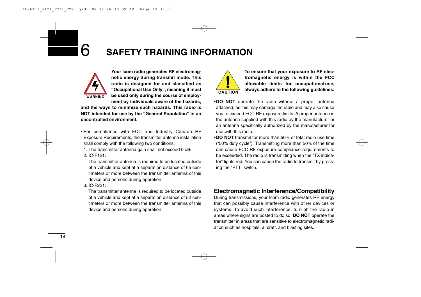

**Your Icom radio generates RF electromagnetic energy during transmit mode. This radio is designed for and classified as "Occupational Use Only", meaning it must be used only during the course of employment by individuals aware of the hazards,**

**and the ways to minimize such hazards. This radio is NOT intended for use by the "General Population" in an uncontrolled environment.**

- For compliance with FCC and Industry Canada RF Exposure Requirements, the transmitter antenna installation shall comply with the following two conditions:
	- 1. The transmitter antenna gain shall not exceed 0 dBi.
	- 2. IC-F121:

The transmitter antenna is required to be located outside of a vehicle and kept at a separation distance of 65 centimeters or more between the transmitter antenna of this device and persons during operation.

3. IC-F221:

The transmitter antenna is required to be located outside of a vehicle and kept at a separation distance of 52 centimeters or more between the transmitter antenna of this device and persons during operation.



**To ensure that your exposure to RF electromagnetic energy is within the FCC allowable limits for occupationaluse, always adhere to the following guidelines:**

- •**DO NOT** operate the radio without a proper antenna attached, as this may damage the radio and may also cause you to exceed FCC RF exposure limits. A proper antenna is the antenna supplied with this radio by the manufacturer or an antenna specifically authorized by the manufacturer for use with this radio.
- •**DO NOT** transmit for more than 50% of total radio use time ("50% duty cycle"). Transmitting more than 50% of the time can cause FCC RF exposure compliance requirements to be exceeded. The radio is transmitting when the "TX indicator" lights red. You can cause the radio to transmit by pressing the "PTT" switch.

## **Electromagnetic Interference/Compatibility**

During transmissions, your Icom radio generates RF energy that can possibly cause interference with other devices or systems. To avoid such interference, turn off the radio in areas where signs are posted to do so. **DO NOT** operate the transmitter in areas that are sensitive to electromagnetic radiation such as hospitals, aircraft, and blasting sites.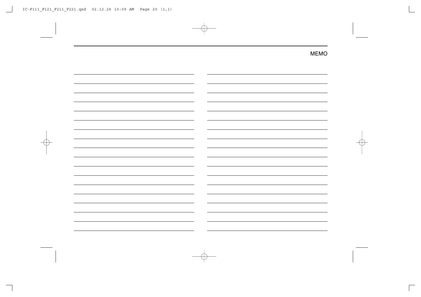| $\overline{\phantom{0}}$                                        |  |
|-----------------------------------------------------------------|--|
|                                                                 |  |
|                                                                 |  |
|                                                                 |  |
|                                                                 |  |
|                                                                 |  |
|                                                                 |  |
| $\overline{\phantom{0}}$                                        |  |
|                                                                 |  |
| the contract of the contract of the contract of the contract of |  |
| $\overline{\phantom{a}}$                                        |  |
|                                                                 |  |
| $\overline{\phantom{0}}$                                        |  |
|                                                                 |  |
| $\overline{\phantom{0}}$                                        |  |
|                                                                 |  |
|                                                                 |  |
| $\overline{\phantom{a}}$                                        |  |
|                                                                 |  |
|                                                                 |  |
| $\overline{\phantom{0}}$                                        |  |
|                                                                 |  |
|                                                                 |  |
|                                                                 |  |
|                                                                 |  |
|                                                                 |  |
|                                                                 |  |